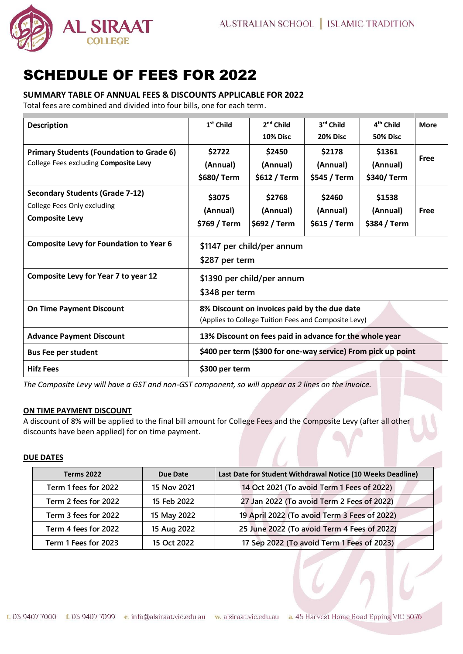

# SCHEDULE OF FEES FOR 2022

## **SUMMARY TABLE OF ANNUAL FEES & DISCOUNTS APPLICABLE FOR 2022**

Total fees are combined and divided into four bills, one for each term.

| <b>Description</b>                                                                             | $1st$ Child                                                                                          | $2nd$ Child<br>10% Disc            | 3rd Child<br><b>20% Disc</b>       | 4 <sup>th</sup> Child<br><b>50% Disc</b> | <b>More</b> |
|------------------------------------------------------------------------------------------------|------------------------------------------------------------------------------------------------------|------------------------------------|------------------------------------|------------------------------------------|-------------|
| <b>Primary Students (Foundation to Grade 6)</b><br>College Fees excluding Composite Levy       | \$2722<br>(Annual)<br>\$680/Term                                                                     | \$2450<br>(Annual)<br>\$612 / Term | \$2178<br>(Annual)<br>\$545 / Term | \$1361<br>(Annual)<br>\$340/ Term        | <b>Free</b> |
| <b>Secondary Students (Grade 7-12)</b><br>College Fees Only excluding<br><b>Composite Levy</b> | \$3075<br>(Annual)<br>\$769 / Term                                                                   | \$2768<br>(Annual)<br>\$692 / Term | \$2460<br>(Annual)<br>\$615 / Term | \$1538<br>(Annual)<br>\$384 / Term       | Free        |
| <b>Composite Levy for Foundation to Year 6</b>                                                 | \$1147 per child/per annum<br>\$287 per term                                                         |                                    |                                    |                                          |             |
| <b>Composite Levy for Year 7 to year 12</b>                                                    | \$1390 per child/per annum<br>\$348 per term                                                         |                                    |                                    |                                          |             |
| <b>On Time Payment Discount</b>                                                                | 8% Discount on invoices paid by the due date<br>(Applies to College Tuition Fees and Composite Levy) |                                    |                                    |                                          |             |
| <b>Advance Payment Discount</b>                                                                | 13% Discount on fees paid in advance for the whole year                                              |                                    |                                    |                                          |             |
| <b>Bus Fee per student</b>                                                                     | \$400 per term (\$300 for one-way service) From pick up point                                        |                                    |                                    |                                          |             |
| <b>Hifz Fees</b>                                                                               | \$300 per term                                                                                       |                                    |                                    |                                          |             |

*The Composite Levy will have a GST and non-GST component, so will appear as 2 lines on the invoice.*

## **ON TIME PAYMENT DISCOUNT**

A discount of 8% will be applied to the final bill amount for College Fees and the Composite Levy (after all other discounts have been applied) for on time payment.

## **DUE DATES**

| <b>Terms 2022</b>    | <b>Due Date</b> | Last Date for Student Withdrawal Notice (10 Weeks Deadline) |  |  |
|----------------------|-----------------|-------------------------------------------------------------|--|--|
| Term 1 fees for 2022 | 15 Nov 2021     | 14 Oct 2021 (To avoid Term 1 Fees of 2022)                  |  |  |
| Term 2 fees for 2022 | 15 Feb 2022     | 27 Jan 2022 (To avoid Term 2 Fees of 2022)                  |  |  |
| Term 3 fees for 2022 | 15 May 2022     | 19 April 2022 (To avoid Term 3 Fees of 2022)                |  |  |
| Term 4 fees for 2022 | 15 Aug 2022     | 25 June 2022 (To avoid Term 4 Fees of 2022)                 |  |  |
| Term 1 Fees for 2023 | 15 Oct 2022     | 17 Sep 2022 (To avoid Term 1 Fees of 2023)                  |  |  |